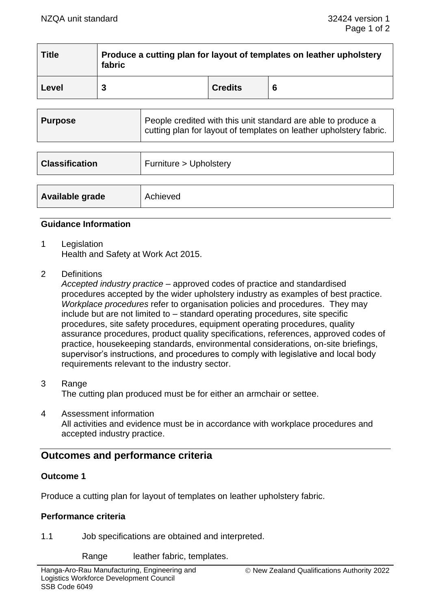| <b>Title</b> | Produce a cutting plan for layout of templates on leather upholstery<br>fabric |                |   |
|--------------|--------------------------------------------------------------------------------|----------------|---|
| Level        |                                                                                | <b>Credits</b> | 6 |

| <b>Purpose</b> | People credited with this unit standard are able to produce a<br>cutting plan for layout of templates on leather upholstery fabric. |
|----------------|-------------------------------------------------------------------------------------------------------------------------------------|
|                |                                                                                                                                     |

| <b>Classification</b> | Furniture > Upholstery |
|-----------------------|------------------------|
| Available grade       | Achieved               |

## **Guidance Information**

- 1 Legislation Health and Safety at Work Act 2015.
- 2 Definitions

*Accepted industry practice* – approved codes of practice and standardised procedures accepted by the wider upholstery industry as examples of best practice. *Workplace procedures* refer to organisation policies and procedures. They may include but are not limited to – standard operating procedures, site specific procedures, site safety procedures, equipment operating procedures, quality assurance procedures, product quality specifications, references, approved codes of practice, housekeeping standards, environmental considerations, on-site briefings, supervisor's instructions, and procedures to comply with legislative and local body requirements relevant to the industry sector.

- 3 Range The cutting plan produced must be for either an armchair or settee.
- 4 Assessment information All activities and evidence must be in accordance with workplace procedures and accepted industry practice.

# **Outcomes and performance criteria**

# **Outcome 1**

Produce a cutting plan for layout of templates on leather upholstery fabric.

#### **Performance criteria**

1.1 Job specifications are obtained and interpreted.

Range leather fabric, templates.